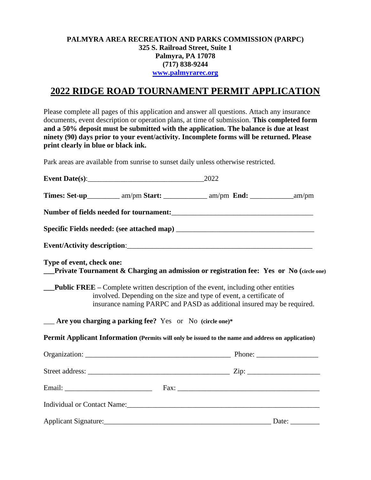### **PALMYRA AREA RECREATION AND PARKS COMMISSION (PARPC) 325 S. Railroad Street, Suite 1 Palmyra, PA 17078 (717) 838-9244 [www.palmyrarec.org](http://www.palmyrarec.org/)**

# **2022 RIDGE ROAD TOURNAMENT PERMIT APPLICATION**

Please complete all pages of this application and answer all questions. Attach any insurance documents, event description or operation plans, at time of submission. **This completed form and a 50% deposit must be submitted with the application. The balance is due at least ninety (90) days prior to your event/activity. Incomplete forms will be returned. Please print clearly in blue or black ink.**

Park areas are available from sunrise to sunset daily unless otherwise restricted.

| Event Date(s): $\qquad \qquad$ [37] $\qquad \qquad$ [37] $\qquad \qquad$ [37] $\qquad \qquad$ [37] $\qquad \qquad$ [37] $\qquad \qquad$ [37] $\qquad \qquad$ [37] $\qquad \qquad$ [37] $\qquad \qquad$ [37] $\qquad \qquad$ [37] $\qquad \qquad$ [37] $\qquad \qquad$ [37] $\qquad \qquad$ [37] $\qquad \qquad$ [37] $\qquad \qquad$ [ | 2022                                                                                                                                                                                                                                      |              |
|----------------------------------------------------------------------------------------------------------------------------------------------------------------------------------------------------------------------------------------------------------------------------------------------------------------------------------------|-------------------------------------------------------------------------------------------------------------------------------------------------------------------------------------------------------------------------------------------|--------------|
|                                                                                                                                                                                                                                                                                                                                        | Times: Set-up___________ am/pm Start: _____________ am/pm End: _____________ am/pm                                                                                                                                                        |              |
|                                                                                                                                                                                                                                                                                                                                        |                                                                                                                                                                                                                                           |              |
|                                                                                                                                                                                                                                                                                                                                        |                                                                                                                                                                                                                                           |              |
|                                                                                                                                                                                                                                                                                                                                        |                                                                                                                                                                                                                                           |              |
| Type of event, check one:                                                                                                                                                                                                                                                                                                              | Private Tournament & Charging an admission or registration fee: Yes or No (circle one)                                                                                                                                                    |              |
|                                                                                                                                                                                                                                                                                                                                        | <b>Public FREE</b> – Complete written description of the event, including other entities<br>involved. Depending on the size and type of event, a certificate of<br>insurance naming PARPC and PASD as additional insured may be required. |              |
|                                                                                                                                                                                                                                                                                                                                        |                                                                                                                                                                                                                                           |              |
|                                                                                                                                                                                                                                                                                                                                        | Permit Applicant Information (Permits will only be issued to the name and address on application)                                                                                                                                         |              |
|                                                                                                                                                                                                                                                                                                                                        |                                                                                                                                                                                                                                           |              |
|                                                                                                                                                                                                                                                                                                                                        |                                                                                                                                                                                                                                           |              |
|                                                                                                                                                                                                                                                                                                                                        |                                                                                                                                                                                                                                           |              |
|                                                                                                                                                                                                                                                                                                                                        | Individual or Contact Name: 1986. [19] March 2014. [19] March 2014. [19] March 2014. [19] March 2014. [19] March 2014. [19] March 2014. [19] March 2014. [19] March 2014. [19] March 2014. [19] March 2014. [19] March 2014. [            |              |
|                                                                                                                                                                                                                                                                                                                                        |                                                                                                                                                                                                                                           | Date: $\_\_$ |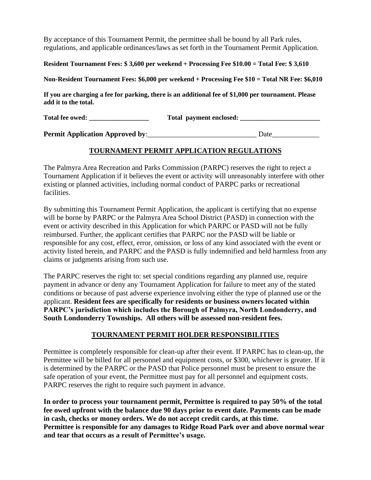By acceptance of this Tournament Permit, the permittee shall be bound by all Park rules, regulations, and applicable ordinances/laws as set forth in the Tournament Permit Application.

**Resident Tournament Fees: \$ 3,600 per weekend + Processing Fee \$10.00 = Total Fee: \$ 3,610**

**Non-Resident Tournament Fees: \$6,000 per weekend + Processing Fee \$10 = Total NR Fee: \$6,010**

**If you are charging a fee for parking, there is an additional fee of \$1,000 per tournament. Please add it to the total.** 

**Total fee owed: \_\_\_\_\_\_\_\_\_\_\_\_\_\_\_\_\_\_ Total payment enclosed: \_\_\_\_\_\_\_\_\_\_\_\_\_\_\_\_\_\_\_\_\_\_\_\_**

**Permit Application Approved by**:\_\_\_\_\_\_\_\_\_\_\_\_\_\_\_\_\_\_\_\_\_\_\_\_\_\_\_\_\_\_ Date\_\_\_\_\_\_\_\_\_\_\_\_\_

# **TOURNAMENT PERMIT APPLICATION REGULATIONS**

The Palmyra Area Recreation and Parks Commission (PARPC) reserves the right to reject a Tournament Application if it believes the event or activity will unreasonably interfere with other existing or planned activities, including normal conduct of PARPC parks or recreational facilities.

By submitting this Tournament Permit Application, the applicant is certifying that no expense will be borne by PARPC or the Palmyra Area School District (PASD) in connection with the event or activity described in this Application for which PARPC or PASD will not be fully reimbursed. Further, the applicant certifies that PARPC nor the PASD will be liable or responsible for any cost, effect, error, omission, or loss of any kind associated with the event or activity listed herein, and PARPC and the PASD is fully indemnified and held harmless from any claims or judgments arising from such use.

The PARPC reserves the right to: set special conditions regarding any planned use, require payment in advance or deny any Tournament Application for failure to meet any of the stated conditions or because of past adverse experience involving either the type of planned use or the applicant. **Resident fees are specifically for residents or business owners located within PARPC's jurisdiction which includes the Borough of Palmyra, North Londonderry, and South Londonderry Townships. All others will be assessed non-resident fees.**

# **TOURNAMENT PERMIT HOLDER RESPONSIBILITIES**

Permittee is completely responsible for clean-up after their event. If PARPC has to clean-up, the Permittee will be billed for all personnel and equipment costs, or \$300, whichever is greater. If it is determined by the PARPC or the PASD that Police personnel must be present to ensure the safe operation of your event, the Permittee must pay for all personnel and equipment costs. PARPC reserves the right to require such payment in advance.

**In order to process your tournament permit, Permittee is required to pay 50% of the total fee owed upfront with the balance due 90 days prior to event date. Payments can be made in cash, checks or money orders. We do not accept credit cards, at this time. Permittee is responsible for any damages to Ridge Road Park over and above normal wear and tear that occurs as a result of Permittee's usage.**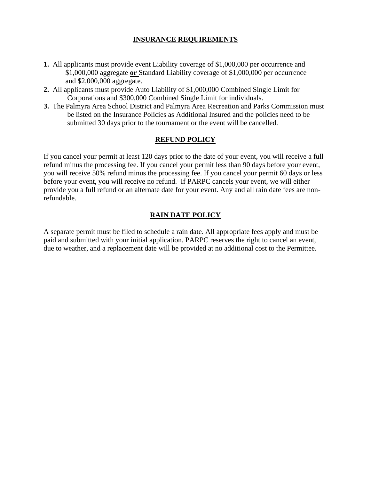### **INSURANCE REQUIREMENTS**

- **1.** All applicants must provide event Liability coverage of \$1,000,000 per occurrence and \$1,000,000 aggregate **or** Standard Liability coverage of \$1,000,000 per occurrence and \$2,000,000 aggregate.
- **2.** All applicants must provide Auto Liability of \$1,000,000 Combined Single Limit for Corporations and \$300,000 Combined Single Limit for individuals.
- **3.** The Palmyra Area School District and Palmyra Area Recreation and Parks Commission must be listed on the Insurance Policies as Additional Insured and the policies need to be submitted 30 days prior to the tournament or the event will be cancelled.

# **REFUND POLICY**

If you cancel your permit at least 120 days prior to the date of your event, you will receive a full refund minus the processing fee. If you cancel your permit less than 90 days before your event, you will receive 50% refund minus the processing fee. If you cancel your permit 60 days or less before your event, you will receive no refund. If PARPC cancels your event, we will either provide you a full refund or an alternate date for your event. Any and all rain date fees are nonrefundable.

# **RAIN DATE POLICY**

A separate permit must be filed to schedule a rain date. All appropriate fees apply and must be paid and submitted with your initial application. PARPC reserves the right to cancel an event, due to weather, and a replacement date will be provided at no additional cost to the Permittee.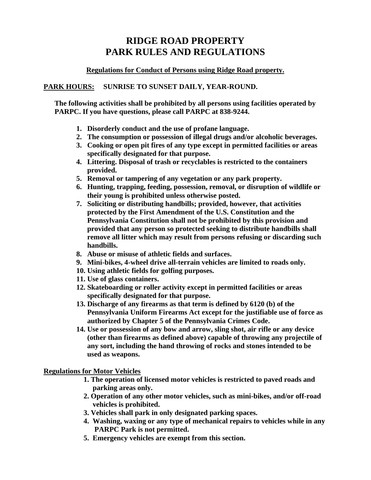# **RIDGE ROAD PROPERTY PARK RULES AND REGULATIONS**

### **Regulations for Conduct of Persons using Ridge Road property.**

# **PARK HOURS: SUNRISE TO SUNSET DAILY, YEAR-ROUND.**

**The following activities shall be prohibited by all persons using facilities operated by PARPC. If you have questions, please call PARPC at 838-9244.**

- **1. Disorderly conduct and the use of profane language.**
- **2. The consumption or possession of illegal drugs and/or alcoholic beverages.**
- **3. Cooking or open pit fires of any type except in permitted facilities or areas specifically designated for that purpose.**
- **4. Littering. Disposal of trash or recyclables is restricted to the containers provided.**
- **5. Removal or tampering of any vegetation or any park property.**
- **6. Hunting, trapping, feeding, possession, removal, or disruption of wildlife or their young is prohibited unless otherwise posted.**
- **7. Soliciting or distributing handbills; provided, however, that activities protected by the First Amendment of the U.S. Constitution and the Pennsylvania Constitution shall not be prohibited by this provision and provided that any person so protected seeking to distribute handbills shall remove all litter which may result from persons refusing or discarding such handbills.**
- **8. Abuse or misuse of athletic fields and surfaces.**
- **9. Mini-bikes, 4-wheel drive all-terrain vehicles are limited to roads only.**
- **10. Using athletic fields for golfing purposes.**
- **11. Use of glass containers.**
- **12. Skateboarding or roller activity except in permitted facilities or areas specifically designated for that purpose.**
- **13. Discharge of any firearms as that term is defined by 6120 (b) of the Pennsylvania Uniform Firearms Act except for the justifiable use of force as authorized by Chapter 5 of the Pennsylvania Crimes Code.**
- **14. Use or possession of any bow and arrow, sling shot, air rifle or any device (other than firearms as defined above) capable of throwing any projectile of any sort, including the hand throwing of rocks and stones intended to be used as weapons.**

#### **Regulations for Motor Vehicles**

- **1. The operation of licensed motor vehicles is restricted to paved roads and parking areas only.**
- **2. Operation of any other motor vehicles, such as mini-bikes, and/or off-road vehicles is prohibited.**
- **3. Vehicles shall park in only designated parking spaces.**
- **4. Washing, waxing or any type of mechanical repairs to vehicles while in any PARPC Park is not permitted.**
- **5. Emergency vehicles are exempt from this section.**